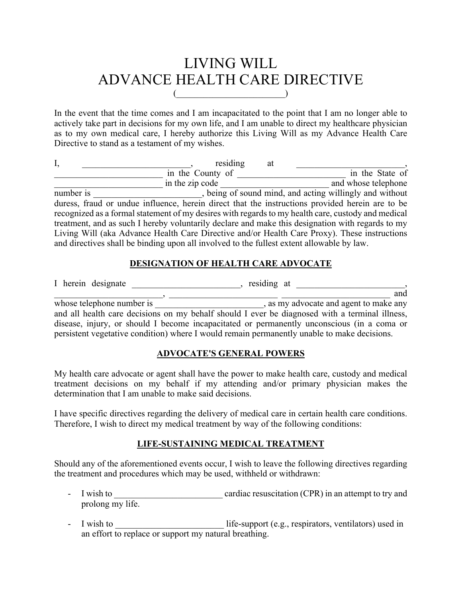# LIVING WILL ADVANCE HEALTH CARE DIRECTIVE  $($

In the event that the time comes and I am incapacitated to the point that I am no longer able to actively take part in decisions for my own life, and I am unable to direct my healthcare physician as to my own medical care, I hereby authorize this Living Will as my Advance Health Care Directive to stand as a testament of my wishes.

| I,        | residing         | at                                                                                                 |
|-----------|------------------|----------------------------------------------------------------------------------------------------|
|           | in the County of | in the State of                                                                                    |
|           | in the zip code  | and whose telephone                                                                                |
| number is |                  | , being of sound mind, and acting willingly and without                                            |
|           |                  | duress, fraud or undue influence, herein direct that the instructions provided herein are to be    |
|           |                  | recognized as a formal statement of my desires with regards to my health care, custody and medical |
|           |                  | treatment, and as such I hereby voluntarily declare and make this designation with regards to my   |
|           |                  | Living Will (aka Advance Health Care Directive and/or Health Care Proxy). These instructions       |
|           |                  | and directives shall be binding upon all involved to the fullest extent allowable by law.          |

# **DESIGNATION OF HEALTH CARE ADVOCATE**

I herein designate \_\_\_\_\_\_\_\_\_\_\_\_\_\_, residing at \_\_\_\_\_\_\_\_\_\_\_\_, and  $\,$ ,  $\,$ whose telephone number is \_\_\_\_\_\_\_\_\_\_\_\_\_\_\_\_\_\_\_\_\_\_\_\_\_\_\_\_\_\_\_\_, as my advocate and agent to make any and all health care decisions on my behalf should I ever be diagnosed with a terminal illness, disease, injury, or should I become incapacitated or permanently unconscious (in a coma or persistent vegetative condition) where I would remain permanently unable to make decisions.

# **ADVOCATE'S GENERAL POWERS**

My health care advocate or agent shall have the power to make health care, custody and medical treatment decisions on my behalf if my attending and/or primary physician makes the determination that I am unable to make said decisions.

I have specific directives regarding the delivery of medical care in certain health care conditions. Therefore, I wish to direct my medical treatment by way of the following conditions:

# **LIFE-SUSTAINING MEDICAL TREATMENT**

Should any of the aforementioned events occur, I wish to leave the following directives regarding the treatment and procedures which may be used, withheld or withdrawn:

- I wish to \_\_\_\_\_\_\_\_\_\_\_\_\_\_\_\_\_\_\_\_\_\_\_\_ cardiac resuscitation (CPR) in an attempt to try and prolong my life.
- I wish to \_\_\_\_\_\_\_\_\_\_\_\_\_\_\_\_\_\_\_\_\_\_\_\_ life-support (e.g., respirators, ventilators) used in an effort to replace or support my natural breathing.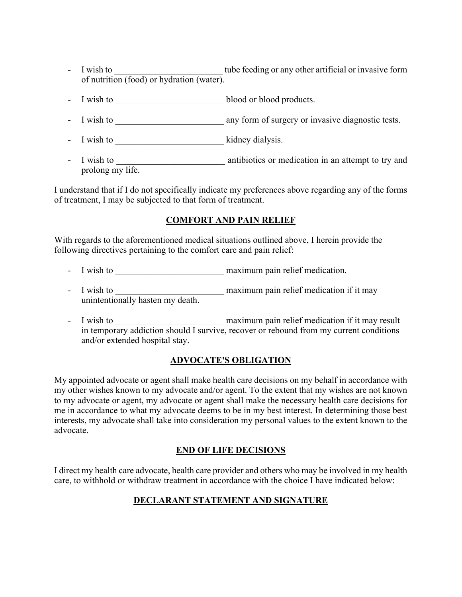- I wish to come tube feeding or any other artificial or invasive form of nutrition (food) or hydration (water).
- I wish to \_\_\_\_\_\_\_\_\_\_\_\_\_\_\_\_\_\_\_\_\_\_\_\_ blood or blood products.
- I wish to \_\_\_\_\_\_\_\_\_\_\_\_\_\_\_\_\_\_\_\_\_\_\_\_ any form of surgery or invasive diagnostic tests.
- I wish to \_\_\_\_\_\_\_\_\_\_\_\_\_\_\_\_\_\_\_\_\_\_\_\_\_\_\_\_\_\_\_\_\_\_ kidney dialysis.
- I wish to \_\_\_\_\_\_\_\_\_\_\_\_\_\_\_\_\_\_\_\_\_\_\_\_ antibiotics or medication in an attempt to try and prolong my life.

I understand that if I do not specifically indicate my preferences above regarding any of the forms of treatment, I may be subjected to that form of treatment.

### **COMFORT AND PAIN RELIEF**

With regards to the aforementioned medical situations outlined above, I herein provide the following directives pertaining to the comfort care and pain relief:

- I wish to \_\_\_\_\_\_\_\_\_\_\_\_\_\_\_\_\_\_\_\_\_\_\_\_ maximum pain relief medication.
- I wish to \_\_\_\_\_\_\_\_\_\_\_\_\_\_\_\_\_\_\_\_\_\_\_\_ maximum pain relief medication if it may unintentionally hasten my death.
- I wish to **I** wish to **EXECUTE:** maximum pain relief medication if it may result in temporary addiction should I survive, recover or rebound from my current conditions and/or extended hospital stay.

#### **ADVOCATE'S OBLIGATION**

My appointed advocate or agent shall make health care decisions on my behalf in accordance with my other wishes known to my advocate and/or agent. To the extent that my wishes are not known to my advocate or agent, my advocate or agent shall make the necessary health care decisions for me in accordance to what my advocate deems to be in my best interest. In determining those best interests, my advocate shall take into consideration my personal values to the extent known to the advocate.

#### **END OF LIFE DECISIONS**

I direct my health care advocate, health care provider and others who may be involved in my health care, to withhold or withdraw treatment in accordance with the choice I have indicated below:

# **DECLARANT STATEMENT AND SIGNATURE**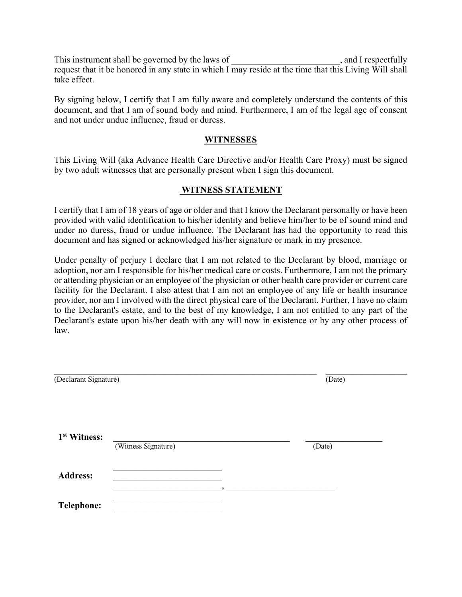This instrument shall be governed by the laws of  $\Box$ , and I respectfully request that it be honored in any state in which I may reside at the time that this Living Will shall take effect.

By signing below, I certify that I am fully aware and completely understand the contents of this document, and that I am of sound body and mind. Furthermore, I am of the legal age of consent and not under undue influence, fraud or duress.

#### **WITNESSES**

This Living Will (aka Advance Health Care Directive and/or Health Care Proxy) must be signed by two adult witnesses that are personally present when I sign this document.

#### **WITNESS STATEMENT**

I certify that I am of 18 years of age or older and that I know the Declarant personally or have been provided with valid identification to his/her identity and believe him/her to be of sound mind and under no duress, fraud or undue influence. The Declarant has had the opportunity to read this document and has signed or acknowledged his/her signature or mark in my presence.

Under penalty of perjury I declare that I am not related to the Declarant by blood, marriage or adoption, nor am I responsible for his/her medical care or costs. Furthermore, I am not the primary or attending physician or an employee of the physician or other health care provider or current care facility for the Declarant. I also attest that I am not an employee of any life or health insurance provider, nor am I involved with the direct physical care of the Declarant. Further, I have no claim to the Declarant's estate, and to the best of my knowledge, I am not entitled to any part of the Declarant's estate upon his/her death with any will now in existence or by any other process of law.

| (Declarant Signature)    |                     | (Date) |        |  |
|--------------------------|---------------------|--------|--------|--|
| 1 <sup>st</sup> Witness: | (Witness Signature) |        | (Date) |  |
| <b>Address:</b>          |                     |        |        |  |
| <b>Telephone:</b>        |                     |        |        |  |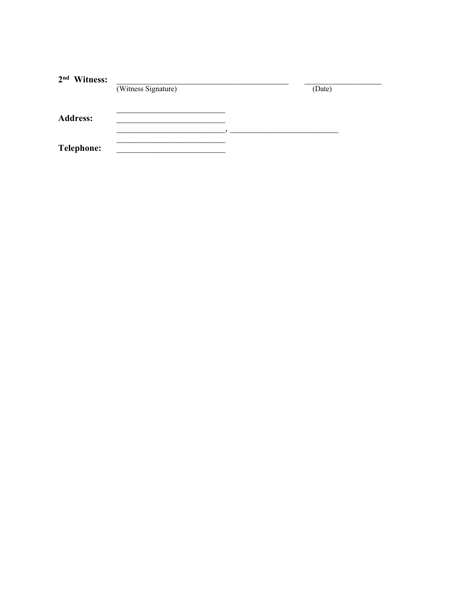| 2 <sup>nd</sup> Witness: | (Witness Signature) | (Date) |
|--------------------------|---------------------|--------|
| <b>Address:</b>          |                     |        |
| <b>Telephone:</b>        |                     |        |